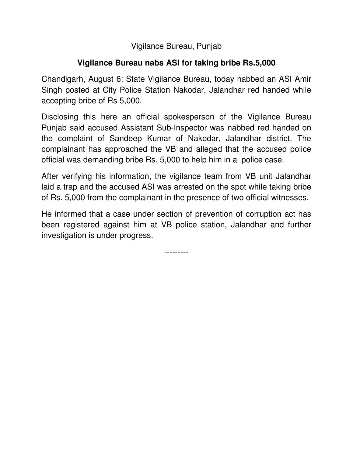Vigilance Bureau, Punjab

## **Vigilance Bureau nabs ASI for taking bribe Rs.5,000**

Chandigarh, August 6: State Vigilance Bureau, today nabbed an ASI Amir Singh posted at City Police Station Nakodar, Jalandhar red handed while accepting bribe of Rs 5,000.

Disclosing this here an official spokesperson of the Vigilance Bureau Punjab said accused Assistant Sub-Inspector was nabbed red handed on the complaint of Sandeep Kumar of Nakodar, Jalandhar district. The complainant has approached the VB and alleged that the accused police official was demanding bribe Rs. 5,000 to help him in a police case.

After verifying his information, the vigilance team from VB unit Jalandhar laid a trap and the accused ASI was arrested on the spot while taking bribe of Rs. 5,000 from the complainant in the presence of two official witnesses.

He informed that a case under section of prevention of corruption act has been registered against him at VB police station, Jalandhar and further investigation is under progress.

---------